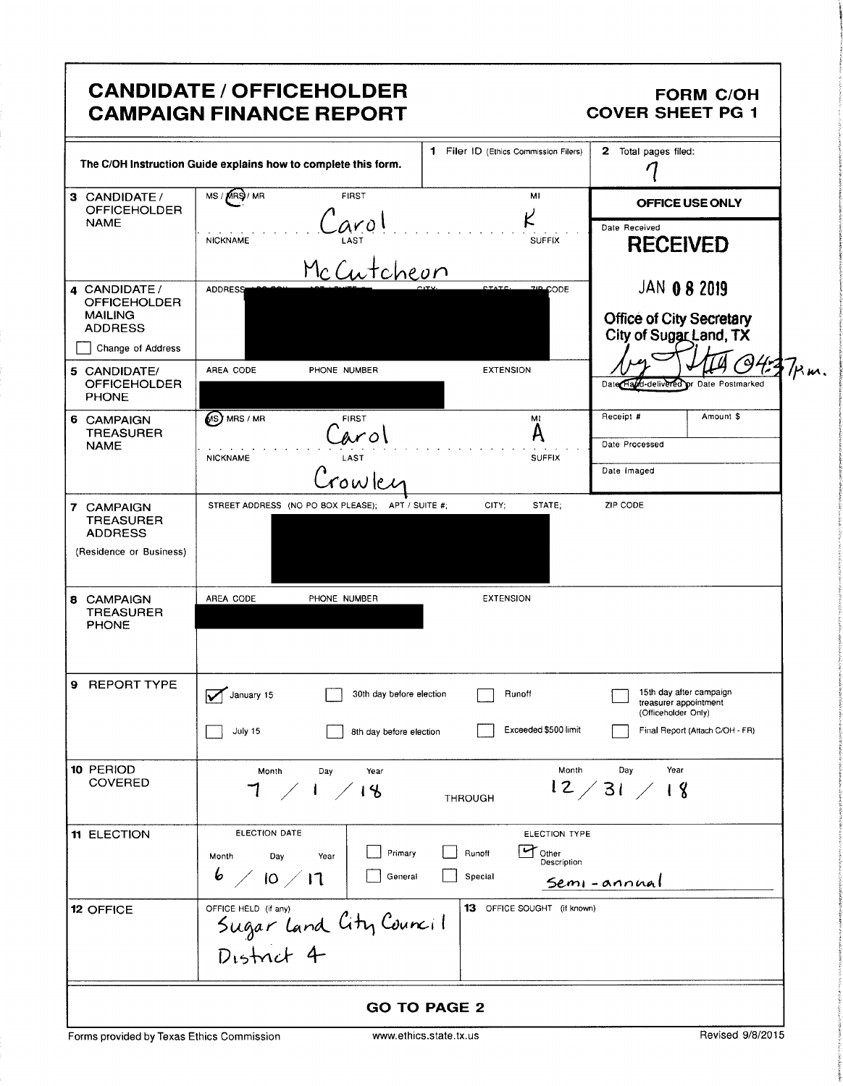|                                                                             | <b>CANDIDATE / OFFICEHOLDER</b><br><b>CAMPAIGN FINANCE REPORT</b>                  |                                                                                  | <b>FORM C/OH</b><br><b>COVER SHEET PG 1</b>                                      |  |
|-----------------------------------------------------------------------------|------------------------------------------------------------------------------------|----------------------------------------------------------------------------------|----------------------------------------------------------------------------------|--|
|                                                                             | The C/OH Instruction Guide explains how to complete this form.                     | 1 Filer ID (Ethics Commission Filers)                                            | 2 Total pages filed:                                                             |  |
| 3 CANDIDATE/<br><b>OFFICEHOLDER</b>                                         | MS / MRS / MR<br><b>FIRST</b>                                                      | MI                                                                               | OFFICE USE ONLY                                                                  |  |
| <b>NAME</b>                                                                 | aro<br><b>NICKNAME</b><br>McCutcheon                                               | <b>SUFFIX</b>                                                                    | Date Received<br><b>RECEIVED</b>                                                 |  |
| 4 CANDIDATE /<br><b>OFFICEHOLDER</b><br><b>MAILING</b><br><b>ADDRESS</b>    | <b>ADDRESS</b>                                                                     | <b>ZIP CODE</b>                                                                  | <b>JAN 0 8 2019</b><br><b>Office of City Secretary</b><br>City of Sugar Land, TX |  |
| Change of Address                                                           |                                                                                    |                                                                                  |                                                                                  |  |
| 5 CANDIDATE/<br><b>OFFICEHOLDER</b><br><b>PHONE</b>                         | AREA CODE<br>PHONE NUMBER                                                          | <b>EXTENSION</b>                                                                 | Date Hald-delivered or Date Postmarked                                           |  |
| 6 CAMPAIGN<br><b>TREASURER</b>                                              | (S) MRS / MR<br><b>FIRST</b><br>w o'                                               | MI<br>A                                                                          | Receipt #<br>Amount \$                                                           |  |
| <b>NAME</b>                                                                 | LAST<br><b>NICKNAME</b>                                                            | <b>SUFFIX</b>                                                                    | Date Processed                                                                   |  |
|                                                                             | owlei                                                                              |                                                                                  | Date Imaged                                                                      |  |
| 7 CAMPAIGN<br><b>TREASURER</b><br><b>ADDRESS</b><br>(Residence or Business) | STREET ADDRESS (NO PO BOX PLEASE); APT / SUITE #;                                  | CITY:<br>STATE;                                                                  | ZIP CODE                                                                         |  |
| <b>8 CAMPAIGN</b><br><b>TREASURER</b><br><b>PHONE</b>                       | AREA CODE<br>PHONE NUMBER                                                          | <b>EXTENSION</b>                                                                 |                                                                                  |  |
| 9 REPORT TYPE                                                               | January 15<br>30th day before election                                             | Runoff                                                                           | 15th day after campaign<br>treasurer appointment<br>(Officeholder Only)          |  |
|                                                                             | July 15<br>8th day before election                                                 | Exceeded \$500 limit                                                             | Final Report (Attach C/OH - FR)                                                  |  |
| 10 PERIOD<br><b>COVERED</b>                                                 | Month<br>Day<br>Year<br>7<br>1/18<br>$\overline{\phantom{a}}$                      | Month<br><b>THROUGH</b>                                                          | Day<br>Year<br>12/31/18                                                          |  |
| 11 ELECTION                                                                 | ELECTION DATE<br>Primary<br>Month<br>Day<br>Year<br>$\frac{6}{10}$ / 17<br>General | ELECTION TYPE<br>$\mathbf{r}_{\text{Other}}$<br>Runoff<br>Description<br>Special | Semi-annual                                                                      |  |
| 12 OFFICE                                                                   | OFFICE HELD (if any)<br>Sugar land City Council<br>District 4                      | 13 OFFICE SOUGHT (if known)                                                      |                                                                                  |  |
|                                                                             |                                                                                    | <b>GO TO PAGE 2</b>                                                              |                                                                                  |  |
| Forms provided by Texas Ethics Commission                                   |                                                                                    | www.ethics.state.tx.us                                                           | Revised 9/8/2015                                                                 |  |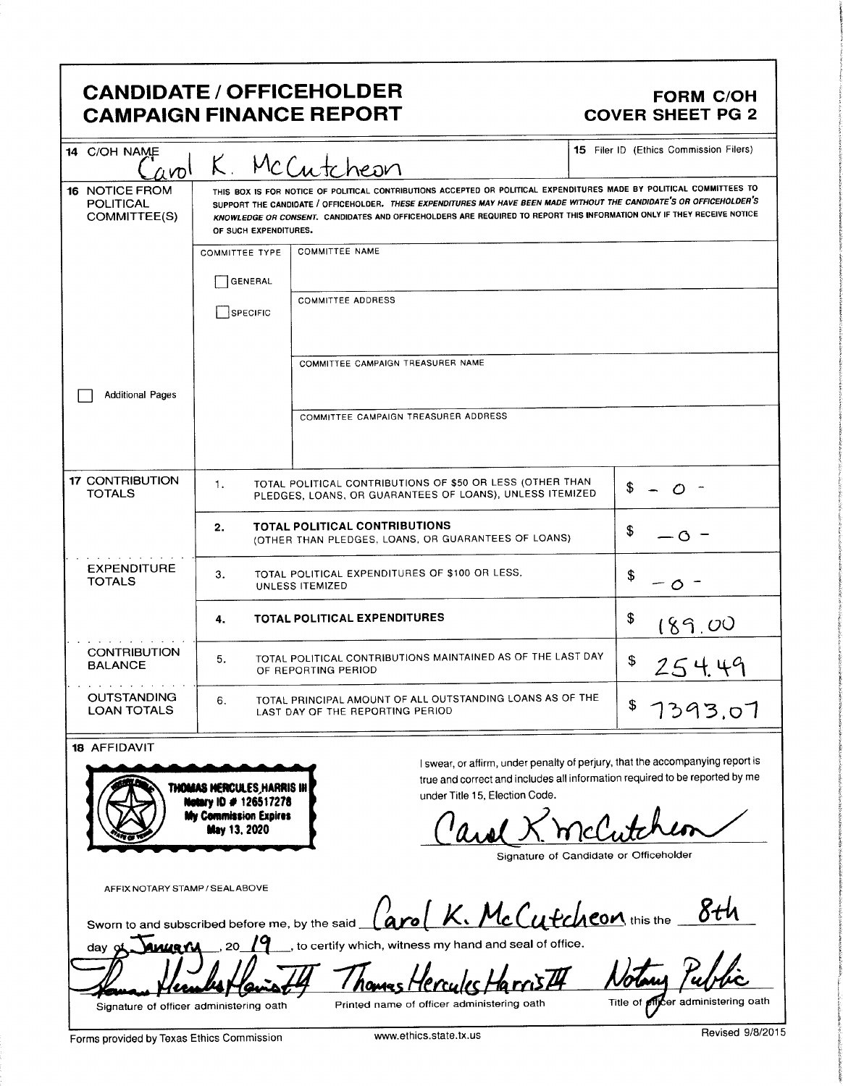# CANDIDATE / OFFICEHOLDER FORM C/OH CAMPAIGN FINANCE REPORT COVER SHEET PG 2

t

s

| 14 C/OH NAME<br>$\alpha$ nol                       |                       | K. McCutcheon                                                                                                                                                                                                                                                                                                                                                                                    | 15 Filer ID (Ethics Commission Filers) |  |
|----------------------------------------------------|-----------------------|--------------------------------------------------------------------------------------------------------------------------------------------------------------------------------------------------------------------------------------------------------------------------------------------------------------------------------------------------------------------------------------------------|----------------------------------------|--|
| 16 NOTICE FROM<br><b>POLITICAL</b><br>COMMITTEE(S) |                       | THIS BOX IS FOR NOTICE OF POLITICAL CONTRIBUTIONS ACCEPTED OR POLITICAL EXPENDITURES MADE BY POLITICAL COMMITTEES TO<br>SUPPORT THE CANDIDATE / OFFICEHOLDER. THESE EXPENDITURES MAY HAVE BEEN MADE WITHOUT THE CANDIDATE'S OR OFFICEHOLDER'S<br>KNOWLEDGE OR CONSENT. CANDIDATES AND OFFICEHOLDERS ARE REQUIRED TO REPORT THIS INFORMATION ONLY IF THEY RECEIVE NOTICE<br>OF SUCH EXPENDITURES. |                                        |  |
|                                                    | <b>COMMITTEE TYPE</b> | <b>COMMITTEE NAME</b>                                                                                                                                                                                                                                                                                                                                                                            |                                        |  |
|                                                    | GENERAL               |                                                                                                                                                                                                                                                                                                                                                                                                  |                                        |  |
|                                                    | SPECIFIC              | <b>COMMITTEE ADDRESS</b>                                                                                                                                                                                                                                                                                                                                                                         |                                        |  |
|                                                    |                       | COMMITTEE CAMPAIGN TREASURER NAME                                                                                                                                                                                                                                                                                                                                                                |                                        |  |
| <b>Additional Pages</b>                            |                       |                                                                                                                                                                                                                                                                                                                                                                                                  |                                        |  |
|                                                    |                       | COMMITTEE CAMPAIGN TREASURER ADDRESS                                                                                                                                                                                                                                                                                                                                                             |                                        |  |
| <b>17 CONTRIBUTION</b><br><b>TOTALS</b>            | 1.                    | TOTAL POLITICAL CONTRIBUTIONS OF \$50 OR LESS (OTHER THAN<br>PLEDGES, LOANS, OR GUARANTEES OF LOANS), UNLESS ITEMIZED                                                                                                                                                                                                                                                                            | \$                                     |  |
|                                                    | 2.                    | <b>TOTAL POLITICAL CONTRIBUTIONS</b><br>(OTHER THAN PLEDGES, LOANS, OR GUARANTEES OF LOANS)                                                                                                                                                                                                                                                                                                      | \$<br>$\circ$ -                        |  |
| <b>EXPENDITURE</b><br><b>TOTALS</b>                | 3.                    | TOTAL POLITICAL EXPENDITURES OF \$100 OR LESS,<br>UNLESS ITEMIZED                                                                                                                                                                                                                                                                                                                                | \$                                     |  |
|                                                    | 4.                    | <b>TOTAL POLITICAL EXPENDITURES</b>                                                                                                                                                                                                                                                                                                                                                              | \$<br>189.00                           |  |
| <b>CONTRIBUTION</b><br><b>BALANCE</b>              | 5.                    | TOTAL POLITICAL CONTRIBUTIONS MAINTAINED AS OF THE LAST DAY<br>OF REPORTING PERIOD                                                                                                                                                                                                                                                                                                               | \$<br>254.49                           |  |
| <b>OUTSTANDING</b><br><b>LOAN TOTALS</b>           | 6.                    | TOTAL PRINCIPAL AMOUNT OF ALL OUTSTANDING LOANS AS OF THE<br>LAST DAY OF THE REPORTING PERIOD                                                                                                                                                                                                                                                                                                    | \$<br>7393.07                          |  |

**If Hoppen II Hoppen II Hoppen II Hoppen II Hoppen II Hoppen II Hoppen II Hoppen II Allen II Allen II Allen II Allen II Allen II Allen II Allen II Allen II Allen II Allen II Allen II Allen II Allen II Allen II Allen II Al**  $\frac{(\text{had } \times \text{mclutchar})}{(\text{dual } \times \text{mclutchar})}$ 

Signature of Candidate or Officeholder

AFFIX NOTARY STAMP/ SEALABOVE

a

otary ID # 126517278<br>In Commission Expires<br>May 13, 2020

| Sworn to and subscribed before me, by the said $\int_{\alpha}^{\infty} K$ . McCutcheon this the $\frac{8th}{\pi}$ |  |  |
|-------------------------------------------------------------------------------------------------------------------|--|--|
|                                                                                                                   |  |  |
| day of $\sqrt{2}$ $\sqrt{9}$ , to certify which, witness my hand and seal of office.                              |  |  |

Notary  $\mathbb{Z}$ Nomes Signature of officer administering oath Printed name of officer administering oath Title of **Pitcher administering oath** 

'u

Forms provided by Texas Ethics Commission www.ethics.state.tx.us Revised 9/8/2015

r

**there** t **Composite**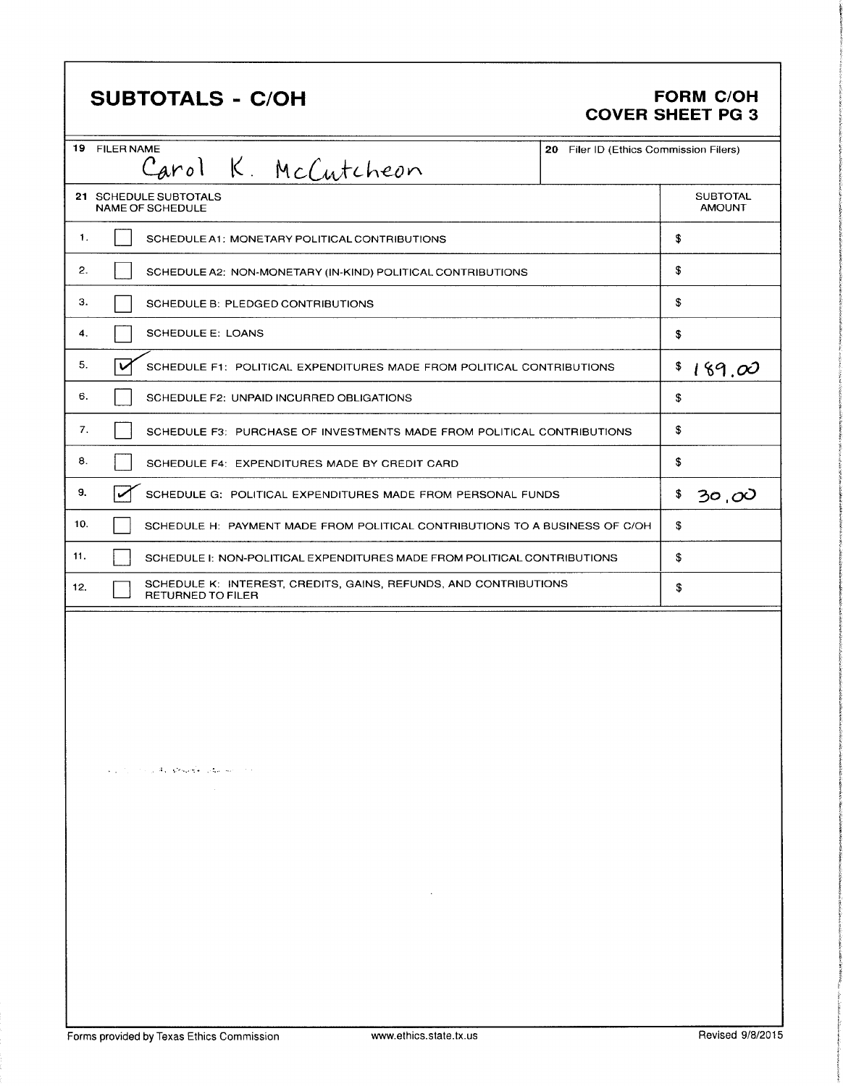|     | <b>SUBTOTALS - C/OH</b>                                                                      |                                        | <b>FORM C/OH</b><br><b>COVER SHEET PG 3</b> |
|-----|----------------------------------------------------------------------------------------------|----------------------------------------|---------------------------------------------|
|     | 19 FILER NAME<br>Carol K. McCutcheon                                                         | 20 Filer ID (Ethics Commission Filers) |                                             |
|     | 21 SCHEDULE SUBTOTALS<br>NAME OF SCHEDULE                                                    |                                        | <b>SUBTOTAL</b><br><b>AMOUNT</b>            |
| 1.  | SCHEDULE A1: MONETARY POLITICAL CONTRIBUTIONS                                                |                                        | \$                                          |
| 2.  | SCHEDULE A2: NON-MONETARY (IN-KIND) POLITICAL CONTRIBUTIONS                                  |                                        | \$                                          |
| з.  | SCHEDULE B: PLEDGED CONTRIBUTIONS                                                            |                                        | \$                                          |
| 4.  | <b>SCHEDULE E: LOANS</b>                                                                     |                                        | \$                                          |
| 5.  | v<br>SCHEDULE F1: POLITICAL EXPENDITURES MADE FROM POLITICAL CONTRIBUTIONS                   |                                        | \$<br>189.00                                |
| 6.  | SCHEDULE F2: UNPAID INCURRED OBLIGATIONS                                                     |                                        | \$                                          |
| 7.  | SCHEDULE F3: PURCHASE OF INVESTMENTS MADE FROM POLITICAL CONTRIBUTIONS                       |                                        | \$                                          |
| 8.  | SCHEDULE F4: EXPENDITURES MADE BY CREDIT CARD                                                |                                        | \$                                          |
| 9.  | SCHEDULE G: POLITICAL EXPENDITURES MADE FROM PERSONAL FUNDS                                  |                                        | \$<br>30.OO                                 |
| 10. | SCHEDULE H: PAYMENT MADE FROM POLITICAL CONTRIBUTIONS TO A BUSINESS OF C/OH                  |                                        | \$                                          |
| 11. | SCHEDULE I: NON-POLITICAL EXPENDITURES MADE FROM POLITICAL CONTRIBUTIONS                     |                                        | \$                                          |
| 12. | SCHEDULE K: INTEREST, CREDITS, GAINS, REFUNDS, AND CONTRIBUTIONS<br><b>RETURNED TO FILER</b> |                                        | \$                                          |
|     | and the state of the property of production of the                                           |                                        |                                             |
|     | and the state of<br>and the state of the                                                     |                                        |                                             |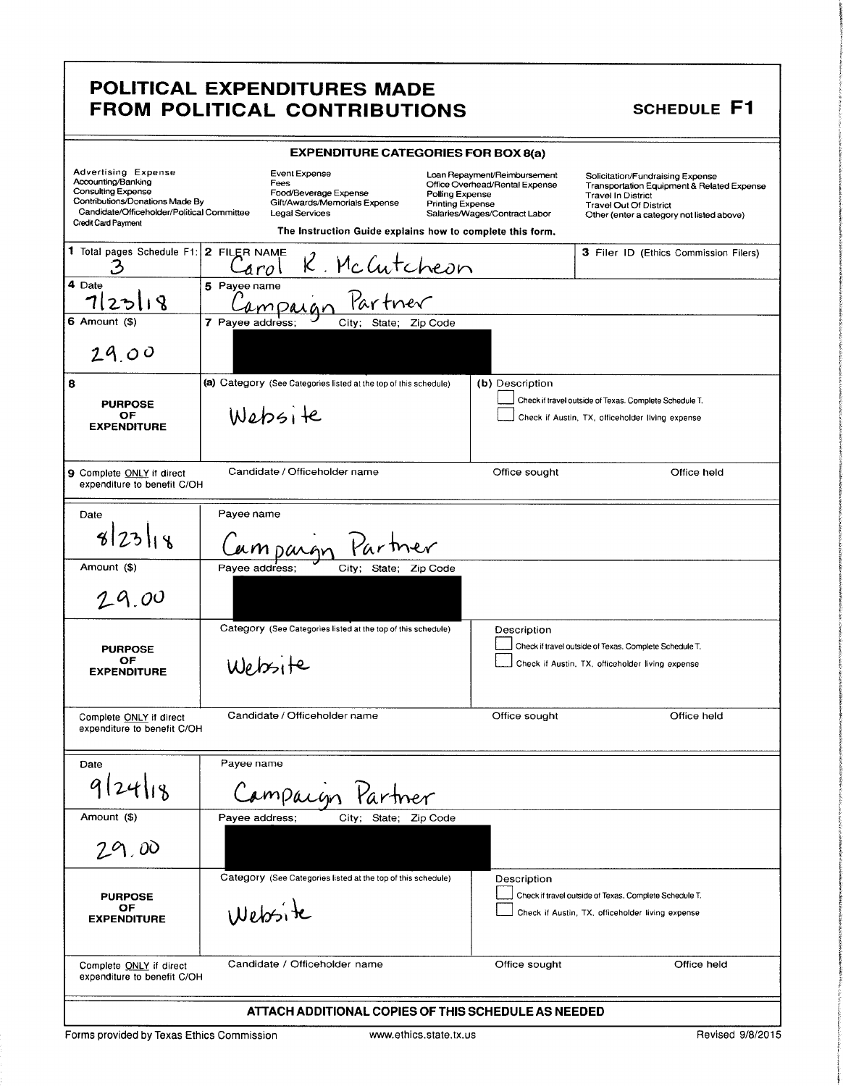### POLITICAL EXPENDITURES MADE FROM POLITICAL CONTRIBUTIONS SCHEDULE F1

i t.

i

</del>

|                                                                                                                                                                                | <b>EXPENDITURE CATEGORIES FOR BOX 8(a)</b>                                                                                                                                                                          |                                                                                                 |                                                                                                                                                                                           |
|--------------------------------------------------------------------------------------------------------------------------------------------------------------------------------|---------------------------------------------------------------------------------------------------------------------------------------------------------------------------------------------------------------------|-------------------------------------------------------------------------------------------------|-------------------------------------------------------------------------------------------------------------------------------------------------------------------------------------------|
| Advertising Expense<br>Accounting/Banking<br><b>Consulting Expense</b><br>Contributions/Donations Made By<br>Candidate/Officeholder/Political Committee<br>Credit Card Payment | Event Expense<br>Fees<br>Food/Beverage Expense<br>Polling Expense<br>Gift/Awards/Memorials Expense<br><b>Printing Expense</b><br><b>Legal Services</b><br>The Instruction Guide explains how to complete this form. | Loan Repayment/Reimbursement<br>Office Overhead/Rental Expense<br>Salaries/Wages/Contract Labor | Solicitation/Fundraising Expense<br>Transportation Equipment & Related Expense<br><b>Travel In District</b><br><b>Travel Out Of District</b><br>Other (enter a category not listed above) |
| 1 Total pages Schedule F1: 2 FILER NAME<br>3                                                                                                                                   | arol                                                                                                                                                                                                                |                                                                                                 | 3 Filer ID (Ethics Commission Filers)                                                                                                                                                     |
| 4 Date<br>R<br>ය<br>2.                                                                                                                                                         | R. McCutcheon<br>5 Payee name<br>MParar                                                                                                                                                                             |                                                                                                 |                                                                                                                                                                                           |
| $6$ Amount $(5)$                                                                                                                                                               | 7 Payee address:<br>City;<br>State;<br>Zip Code                                                                                                                                                                     |                                                                                                 |                                                                                                                                                                                           |
| 29.00                                                                                                                                                                          |                                                                                                                                                                                                                     |                                                                                                 |                                                                                                                                                                                           |
| 8                                                                                                                                                                              | (a) Category (See Categories listed at the top of this schedule)                                                                                                                                                    | (b) Description                                                                                 |                                                                                                                                                                                           |
| <b>PURPOSE</b><br><b>OF</b><br><b>EXPENDITURE</b>                                                                                                                              | Website                                                                                                                                                                                                             |                                                                                                 | Check if travel outside of Texas. Complete Schedule T.<br>Check if Austin, TX, officeholder living expense                                                                                |
| 9 Complete ONLY if direct<br>expenditure to benefit C/OH                                                                                                                       | Candidate / Officeholder name                                                                                                                                                                                       | Office sought                                                                                   | Office held                                                                                                                                                                               |
| Date                                                                                                                                                                           | Payee name                                                                                                                                                                                                          |                                                                                                 |                                                                                                                                                                                           |
| 8 23 14                                                                                                                                                                        |                                                                                                                                                                                                                     |                                                                                                 |                                                                                                                                                                                           |
| Amount (\$)                                                                                                                                                                    | Payee address:<br>State;<br>City;<br>Zip Code                                                                                                                                                                       |                                                                                                 |                                                                                                                                                                                           |
| 29.00                                                                                                                                                                          |                                                                                                                                                                                                                     |                                                                                                 |                                                                                                                                                                                           |
|                                                                                                                                                                                | Category (See Categories listed at the top of this schedule)                                                                                                                                                        | Description                                                                                     |                                                                                                                                                                                           |
| <b>PURPOSE</b><br>OF<br><b>EXPENDITURE</b>                                                                                                                                     | Website                                                                                                                                                                                                             |                                                                                                 | Check if travel outside of Texas. Complete Schedule T.<br>Check if Austin, TX, officeholder living expense                                                                                |
| Complete ONLY if direct<br>expenditure to benefit C/OH                                                                                                                         | Candidate / Officeholder name                                                                                                                                                                                       | Office sought                                                                                   | Office held                                                                                                                                                                               |
| Date                                                                                                                                                                           | Payee name                                                                                                                                                                                                          |                                                                                                 |                                                                                                                                                                                           |
| 9/24/18                                                                                                                                                                        | Campaign Partner                                                                                                                                                                                                    |                                                                                                 |                                                                                                                                                                                           |
| Amount (\$)                                                                                                                                                                    | Payee address;<br>City; State; Zip Code                                                                                                                                                                             |                                                                                                 |                                                                                                                                                                                           |
| 29.00                                                                                                                                                                          |                                                                                                                                                                                                                     |                                                                                                 |                                                                                                                                                                                           |
|                                                                                                                                                                                | Category (See Categories listed at the top of this schedule)                                                                                                                                                        | Description                                                                                     |                                                                                                                                                                                           |
| <b>PURPOSE</b><br>ОF<br><b>EXPENDITURE</b>                                                                                                                                     | Website                                                                                                                                                                                                             |                                                                                                 | Check if travel outside of Texas, Complete Schedule T.<br>Check if Austin, TX, officeholder living expense                                                                                |
| Complete ONLY if direct<br>expenditure to benefit C/OH                                                                                                                         | Candidate / Officeholder name                                                                                                                                                                                       | Office sought                                                                                   | Office held                                                                                                                                                                               |
|                                                                                                                                                                                | ATTACH ADDITIONAL COPIES OF THIS SCHEDULE AS NEEDED                                                                                                                                                                 |                                                                                                 |                                                                                                                                                                                           |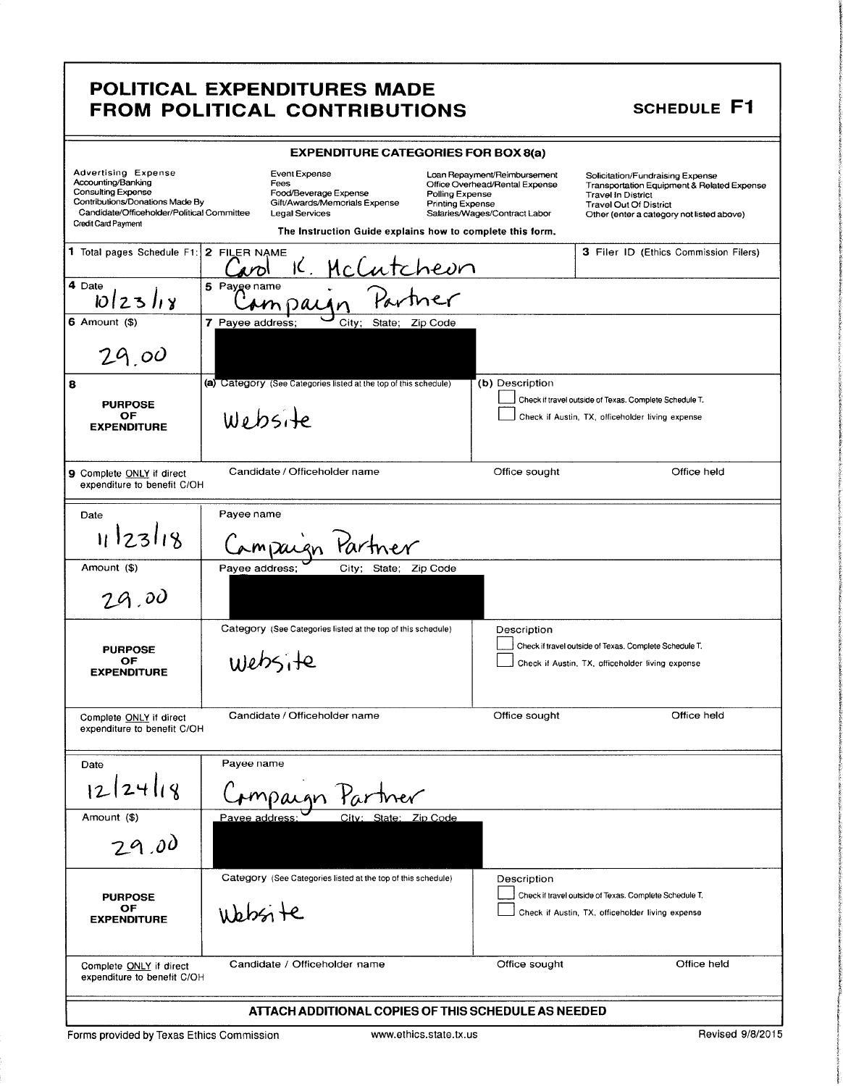## POLITICAL EXPENDITURES MADE FROM POLITICAL CONTRIBUTIONS SCHEDULE F1

**INCORPORA** 

|                                                                                                                                                                         | <b>EXPENDITURE CATEGORIES FOR BOX 8(a)</b>                                                                                                                            |                                                                                                                                               |                                                                                                                                                                                           |
|-------------------------------------------------------------------------------------------------------------------------------------------------------------------------|-----------------------------------------------------------------------------------------------------------------------------------------------------------------------|-----------------------------------------------------------------------------------------------------------------------------------------------|-------------------------------------------------------------------------------------------------------------------------------------------------------------------------------------------|
| Advertising Expense<br>Accounting/Banking<br>Consulting Expense<br>Contributions/Donations Made By<br>Candidate/Officeholder/Political Committee<br>Credit Card Payment | Event Expense<br>Fees<br>Food/Beverage Expense<br>Gift/Awards/Memorials Expense<br><b>Legal Services</b><br>The Instruction Guide explains how to complete this form. | Loan Repayment/Reimbursement<br>Office Overhead/Rental Expense<br>Polling Expense<br><b>Printing Expense</b><br>Salaries/Wages/Contract Labor | Solicitation/Fundraising Expense<br>Transportation Equipment & Related Expense<br><b>Travel In District</b><br><b>Travel Out Of District</b><br>Other (enter a category not listed above) |
| 1 Total pages Schedule F1: 2 FILER NAME                                                                                                                                 | IC.<br>McCutcheon                                                                                                                                                     |                                                                                                                                               | 3 Filer ID (Ethics Commission Filers)                                                                                                                                                     |
| 4 Date<br>1012311                                                                                                                                                       | 5 Payge name                                                                                                                                                          |                                                                                                                                               |                                                                                                                                                                                           |
| $6$ Amount $($)$                                                                                                                                                        | 7 Payee address;<br>City;<br>State; Zip Code                                                                                                                          |                                                                                                                                               |                                                                                                                                                                                           |
| 29.00                                                                                                                                                                   |                                                                                                                                                                       |                                                                                                                                               |                                                                                                                                                                                           |
| 8                                                                                                                                                                       | (a) Category (See Categories listed at the top of this schedule)                                                                                                      | (b) Description                                                                                                                               |                                                                                                                                                                                           |
| <b>PURPOSE</b><br>OF                                                                                                                                                    | Website                                                                                                                                                               |                                                                                                                                               | Check if travel outside of Texas. Complete Schedule T.<br>Check if Austin, TX, officeholder living expense                                                                                |
| <b>EXPENDITURE</b>                                                                                                                                                      |                                                                                                                                                                       |                                                                                                                                               |                                                                                                                                                                                           |
| 9 Complete ONLY if direct<br>expenditure to benefit C/OH                                                                                                                | Candidate / Officeholder name                                                                                                                                         | Office sought                                                                                                                                 | Office held                                                                                                                                                                               |
| Date                                                                                                                                                                    | Payee name                                                                                                                                                            |                                                                                                                                               |                                                                                                                                                                                           |
| 11/23/18                                                                                                                                                                | Partner<br>rmisaign                                                                                                                                                   |                                                                                                                                               |                                                                                                                                                                                           |
| Amount (\$)                                                                                                                                                             | Payee address;<br>City; State; Zip Code                                                                                                                               |                                                                                                                                               |                                                                                                                                                                                           |
| 29.00                                                                                                                                                                   |                                                                                                                                                                       |                                                                                                                                               |                                                                                                                                                                                           |
|                                                                                                                                                                         | Category (See Categories listed at the top of this schedule)                                                                                                          | Description                                                                                                                                   |                                                                                                                                                                                           |
| <b>PURPOSE</b><br>OF                                                                                                                                                    |                                                                                                                                                                       |                                                                                                                                               | Check if travel outside of Texas. Complete Schedule T.                                                                                                                                    |
| <b>EXPENDITURE</b>                                                                                                                                                      | website                                                                                                                                                               |                                                                                                                                               | Check if Austin, TX, officeholder living expense                                                                                                                                          |
| Complete ONLY if direct<br>expenditure to benefit C/OH                                                                                                                  | Candidate / Officeholder name                                                                                                                                         | Office sought                                                                                                                                 | Office held                                                                                                                                                                               |
| Date                                                                                                                                                                    | Payee name                                                                                                                                                            |                                                                                                                                               |                                                                                                                                                                                           |
| 12 24 18                                                                                                                                                                | mpaign Partner                                                                                                                                                        |                                                                                                                                               |                                                                                                                                                                                           |
| Amount (\$)                                                                                                                                                             | Pavee address:<br>City: State: Zip Code                                                                                                                               |                                                                                                                                               |                                                                                                                                                                                           |
| 29.00                                                                                                                                                                   |                                                                                                                                                                       |                                                                                                                                               |                                                                                                                                                                                           |
|                                                                                                                                                                         | Category (See Categories listed at the top of this schedule)                                                                                                          | Description                                                                                                                                   |                                                                                                                                                                                           |
| <b>PURPOSE</b><br>OF<br><b>EXPENDITURE</b>                                                                                                                              | ubbsite                                                                                                                                                               |                                                                                                                                               | Check if travel outside of Texas. Complete Schedule T.<br>Check if Austin, TX, officeholder living expense                                                                                |
| Complete ONLY if direct<br>expenditure to benefit C/OH                                                                                                                  | Candidate / Officeholder name                                                                                                                                         | Office sought                                                                                                                                 | Office held                                                                                                                                                                               |
|                                                                                                                                                                         | ATTACH ADDITIONAL COPIES OF THIS SCHEDULE AS NEEDED                                                                                                                   |                                                                                                                                               |                                                                                                                                                                                           |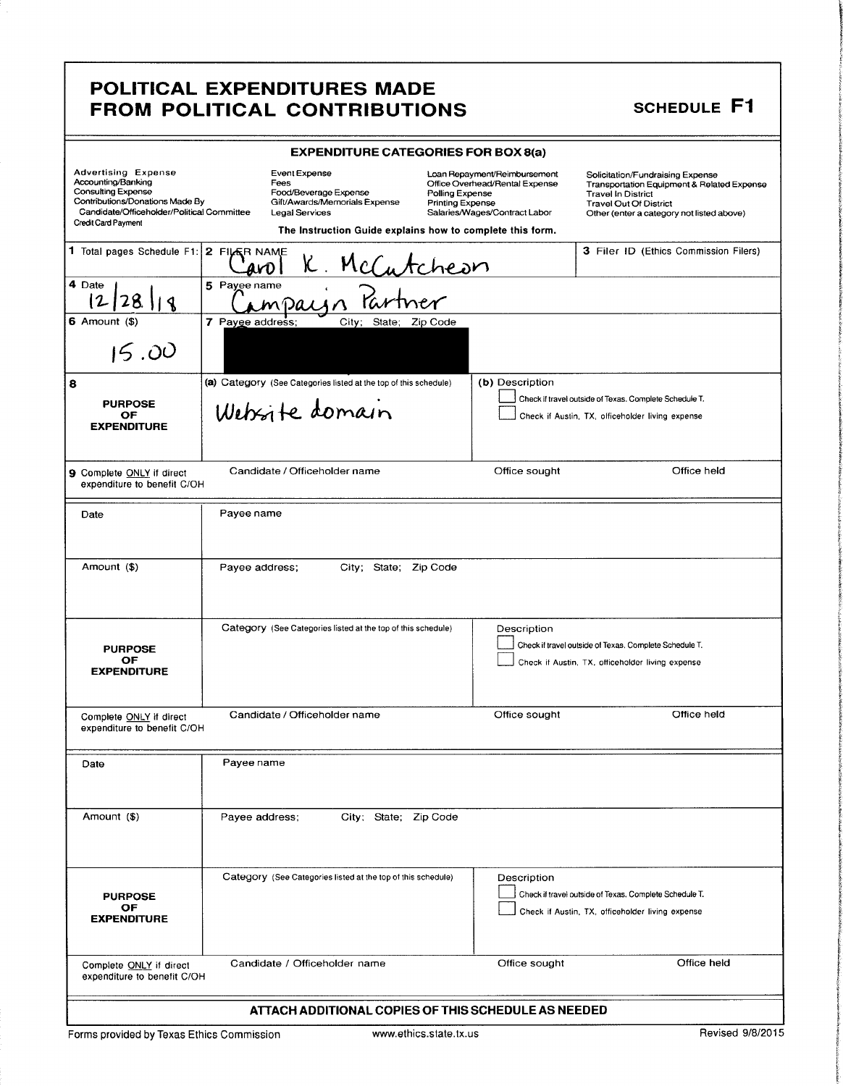### POLITICAL EXPENDITURES MADE FROM POLITICAL CONTRIBUTIONS SCHEDULE F1

**interested** i t K.

**isock** 3:

i,/

| <b>EXPENDITURE CATEGORIES FOR BOX 8(a)</b>                                                                                                                                            |                                                                                                                                                                                                              |                                                                                                 |                                                                                                                                                                                           |  |
|---------------------------------------------------------------------------------------------------------------------------------------------------------------------------------------|--------------------------------------------------------------------------------------------------------------------------------------------------------------------------------------------------------------|-------------------------------------------------------------------------------------------------|-------------------------------------------------------------------------------------------------------------------------------------------------------------------------------------------|--|
| <b>Advertising Expense</b><br>Accounting/Banking<br><b>Consulting Expense</b><br>Contributions/Donations Made By<br>Candidate/Officeholder/Political Committee<br>Credit Card Payment | Event Expense<br>Fees<br>Food/Beverage Expense<br>Polling Expense<br>Gift/Awards/Memorials Expense<br><b>Printing Expense</b><br>Legal Services<br>The Instruction Guide explains how to complete this form. | Loan Repayment/Reimbursement<br>Office Overhead/Rental Expense<br>Salaries/Wages/Contract Labor | Solicitation/Fundraising Expense<br>Transportation Equipment & Related Expense<br><b>Travel In District</b><br><b>Travel Out Of District</b><br>Other (enter a category not listed above) |  |
| 1 Total pages Schedule F1: 2 FILER NAME                                                                                                                                               | K .                                                                                                                                                                                                          |                                                                                                 | 3 Filer ID (Ethics Commission Filers)                                                                                                                                                     |  |
| 4 Date<br>28.<br>2<br>$\frac{1}{3}$                                                                                                                                                   | <u>McCutcheon</u><br>^ Partner<br>5 Payee name                                                                                                                                                               |                                                                                                 |                                                                                                                                                                                           |  |
| $6$ Amount $(\$)$<br>15.00                                                                                                                                                            | 7 Payge address;<br>City; State; Zip Code                                                                                                                                                                    |                                                                                                 |                                                                                                                                                                                           |  |
| 8<br><b>PURPOSE</b><br>OF<br><b>EXPENDITURE</b>                                                                                                                                       | (a) Category (See Categories listed at the top of this schedule)<br>Website domain                                                                                                                           | (b) Description                                                                                 | Check if travel outside of Texas. Complete Schedule T.<br>Check if Austin, TX, officeholder living expense                                                                                |  |
| 9 Complete ONLY if direct<br>expenditure to benefit C/OH                                                                                                                              | Candidate / Officeholder name                                                                                                                                                                                | Office sought                                                                                   | Office held                                                                                                                                                                               |  |
| Date                                                                                                                                                                                  | Payee name                                                                                                                                                                                                   |                                                                                                 |                                                                                                                                                                                           |  |
| Amount (\$)                                                                                                                                                                           | Payee address;<br>City; State; Zip Code                                                                                                                                                                      |                                                                                                 |                                                                                                                                                                                           |  |
| <b>PURPOSE</b><br>OF<br><b>EXPENDITURE</b>                                                                                                                                            | Category (See Categories listed at the top of this schedule)                                                                                                                                                 | Description                                                                                     | Check if travel outside of Texas, Complete Schedule T.<br>Check if Austin, TX, officeholder living expense                                                                                |  |
| Complete ONLY if direct<br>expenditure to benefit C/OH                                                                                                                                | Candidate / Officeholder name                                                                                                                                                                                | Office sought                                                                                   | Office held                                                                                                                                                                               |  |
| Date                                                                                                                                                                                  | Payee name                                                                                                                                                                                                   |                                                                                                 |                                                                                                                                                                                           |  |
| Amount (\$)                                                                                                                                                                           | City; State; Zip Code<br>Payee address;                                                                                                                                                                      |                                                                                                 |                                                                                                                                                                                           |  |
| <b>PURPOSE</b><br>OF.<br><b>EXPENDITURE</b>                                                                                                                                           | Category (See Categories listed at the top of this schedule)                                                                                                                                                 | Description                                                                                     | Check if travel outside of Texas. Complete Schedule T.<br>Check if Austin, TX, officeholder living expense                                                                                |  |
| Complete ONLY if direct<br>expenditure to benefit C/OH                                                                                                                                | Candidate / Officeholder name                                                                                                                                                                                | Office sought                                                                                   | Office held                                                                                                                                                                               |  |
| ATTACH ADDITIONAL COPIES OF THIS SCHEDULE AS NEEDED                                                                                                                                   |                                                                                                                                                                                                              |                                                                                                 |                                                                                                                                                                                           |  |

Forms provided by Texas Ethics Commission www.ethics.state.tx.us Revised 9/8/2015